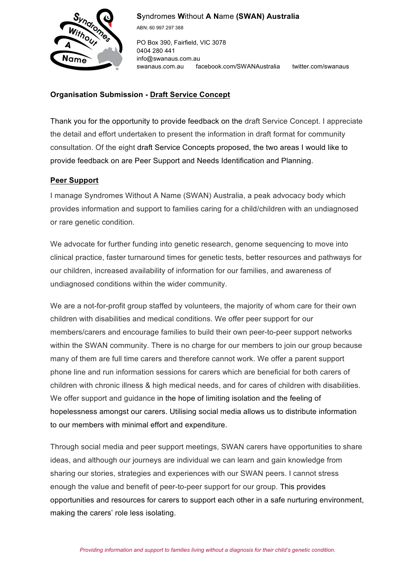

**S**yndromes **W**ithout **A N**ame **(SWAN) Australia**

ABN: 60 997 297 388

PO Box 390, Fairfield, VIC 3078 0404 280 441 info@swanaus.com.au swanaus.com.au facebook.com/SWANAustralia twitter.com/swanaus

## **Organisation Submission - Draft Service Concept**

Thank you for the opportunity to provide feedback on the draft Service Concept. I appreciate the detail and effort undertaken to present the information in draft format for community consultation. Of the eight draft Service Concepts proposed, the two areas I would like to provide feedback on are Peer Support and Needs Identification and Planning.

## **Peer Support**

I manage Syndromes Without A Name (SWAN) Australia, a peak advocacy body which provides information and support to families caring for a child/children with an undiagnosed or rare genetic condition.

We advocate for further funding into genetic research, genome sequencing to move into clinical practice, faster turnaround times for genetic tests, better resources and pathways for our children, increased availability of information for our families, and awareness of undiagnosed conditions within the wider community.

We are a not-for-profit group staffed by volunteers, the majority of whom care for their own children with disabilities and medical conditions. We offer peer support for our members/carers and encourage families to build their own peer-to-peer support networks within the SWAN community. There is no charge for our members to join our group because many of them are full time carers and therefore cannot work. We offer a parent support phone line and run information sessions for carers which are beneficial for both carers of children with chronic illness & high medical needs, and for cares of children with disabilities. We offer support and guidance in the hope of limiting isolation and the feeling of hopelessness amongst our carers. Utilising social media allows us to distribute information to our members with minimal effort and expenditure.

Through social media and peer support meetings, SWAN carers have opportunities to share ideas, and although our journeys are individual we can learn and gain knowledge from sharing our stories, strategies and experiences with our SWAN peers. I cannot stress enough the value and benefit of peer-to-peer support for our group. This provides opportunities and resources for carers to support each other in a safe nurturing environment, making the carers' role less isolating.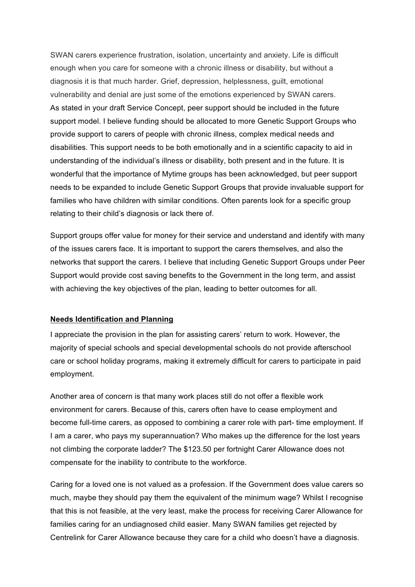SWAN carers experience frustration, isolation, uncertainty and anxiety. Life is difficult enough when you care for someone with a chronic illness or disability, but without a diagnosis it is that much harder. Grief, depression, helplessness, guilt, emotional vulnerability and denial are just some of the emotions experienced by SWAN carers. As stated in your draft Service Concept, peer support should be included in the future support model. I believe funding should be allocated to more Genetic Support Groups who provide support to carers of people with chronic illness, complex medical needs and disabilities. This support needs to be both emotionally and in a scientific capacity to aid in understanding of the individual's illness or disability, both present and in the future. It is wonderful that the importance of Mytime groups has been acknowledged, but peer support needs to be expanded to include Genetic Support Groups that provide invaluable support for families who have children with similar conditions. Often parents look for a specific group relating to their child's diagnosis or lack there of.

Support groups offer value for money for their service and understand and identify with many of the issues carers face. It is important to support the carers themselves, and also the networks that support the carers. I believe that including Genetic Support Groups under Peer Support would provide cost saving benefits to the Government in the long term, and assist with achieving the key objectives of the plan, leading to better outcomes for all.

## **Needs Identification and Planning**

I appreciate the provision in the plan for assisting carers' return to work. However, the majority of special schools and special developmental schools do not provide afterschool care or school holiday programs, making it extremely difficult for carers to participate in paid employment.

Another area of concern is that many work places still do not offer a flexible work environment for carers. Because of this, carers often have to cease employment and become full-time carers, as opposed to combining a carer role with part- time employment. If I am a carer, who pays my superannuation? Who makes up the difference for the lost years not climbing the corporate ladder? The \$123.50 per fortnight Carer Allowance does not compensate for the inability to contribute to the workforce.

Caring for a loved one is not valued as a profession. If the Government does value carers so much, maybe they should pay them the equivalent of the minimum wage? Whilst I recognise that this is not feasible, at the very least, make the process for receiving Carer Allowance for families caring for an undiagnosed child easier. Many SWAN families get rejected by Centrelink for Carer Allowance because they care for a child who doesn't have a diagnosis.